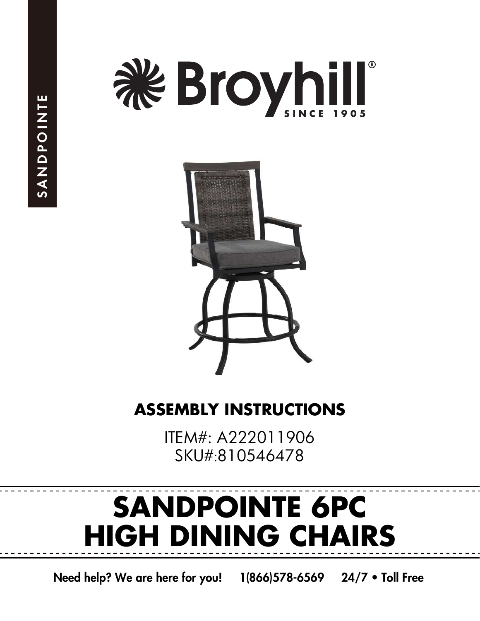



# **ASSEMBLY INSTRUCTIONS**

ITEM#: A222011906 SKU#:810546478

# **SANDPOINTE 6PC HIGH DINING CHAIRS**

Need help? We are here for you! 1(866)578-6569 24/7 • Toll Free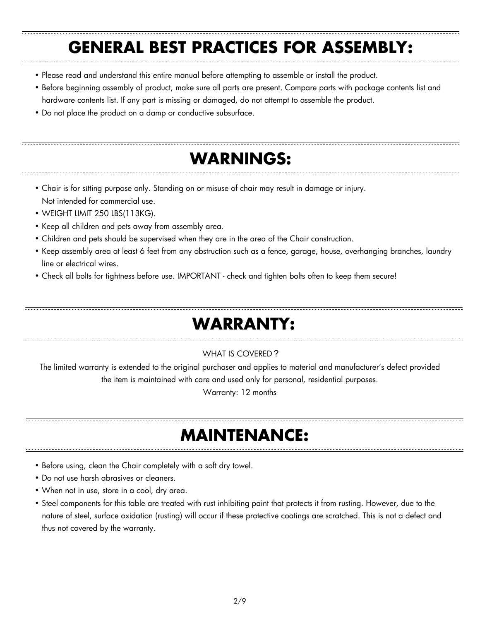### **GENERAL BEST PRACTICES FOR ASSEMBLY:**

- Please read and understand this entire manual before attempting to assemble or install the product.
- Before beginning assembly of product, make sure all parts are present. Compare parts with package contents list and hardware contents list. If any part is missing or damaged, do not attempt to assemble the product.
- Do not place the product on a damp or conductive subsurface.

## **WARNINGS:**

- Chair is for sitting purpose only. Standing on or misuse of chair may result in damage or injury. Not intended for commercial use.
- WEIGHT LIMIT 250 LBS(113KG).
- Keep all children and pets away from assembly area.
- Children and pets should be supervised when they are in the area of the Chair construction.
- Keep assembly area at least 6 feet from any obstruction such as a fence, garage, house, overhanging branches, laundry line or electrical wires.
- Check all bolts for tightness before use. IMPORTANT check and tighten bolts often to keep them secure!

# **WARRANTY:**

#### WHAT IS COVERED?

The limited warranty is extended to the original purchaser and applies to material and manufacturer's defect provided the item is maintained with care and used only for personal, residential purposes.

Warranty: 12 months

### **MAINTENANCE:**

- Before using, clean the Chair completely with a soft dry towel.
- Do not use harsh abrasives or cleaners.
- When not in use, store in a cool, dry area.
- Steel components for this table are treated with rust inhibiting paint that protects it from rusting. However, due to the nature of steel, surface oxidation (rusting) will occur if these protective coatings are scratched. This is not a defect and thus not covered by the warranty.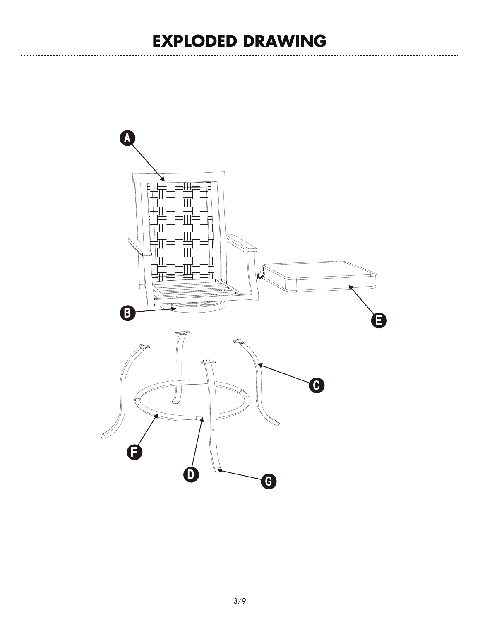### **EXPLODED DRAWING**

 $-\frac{1}{2}$ 

 $\frac{1}{2}$ 

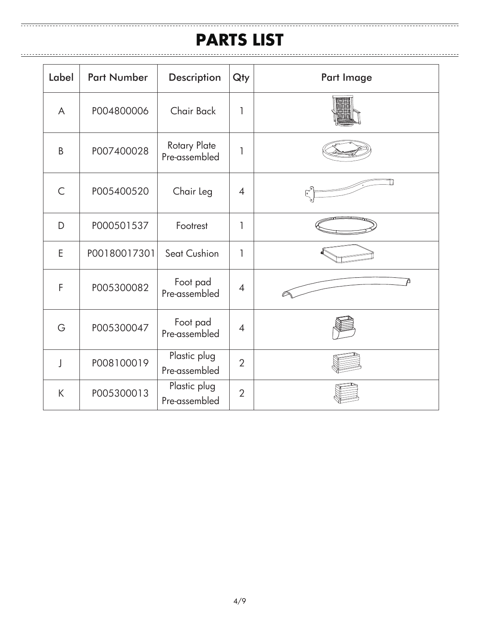#### **PARTS LIST**

| Label                   | <b>Part Number</b> | <b>Description</b>                   | Qty            | Part Image |
|-------------------------|--------------------|--------------------------------------|----------------|------------|
| A                       | P004800006         | Chair Back                           | 1              |            |
| B                       | P007400028         | <b>Rotary Plate</b><br>Pre-assembled | 1              |            |
| $\subset$               | P005400520         | Chair Leg                            | $\overline{4}$ |            |
| D                       | P000501537         | Footrest                             | 1              |            |
| E                       | P00180017301       | Seat Cushion                         | 1              |            |
| F                       | P005300082         | Foot pad<br>Pre-assembled            | $\overline{4}$ |            |
| G                       | P005300047         | Foot pad<br>Pre-assembled            | $\overline{4}$ |            |
| $\overline{\mathbf{I}}$ | P008100019         | Plastic plug<br>Pre-assembled        | $\overline{2}$ |            |
| K                       | P005300013         | Plastic plug<br>Pre-assembled        | $\overline{2}$ |            |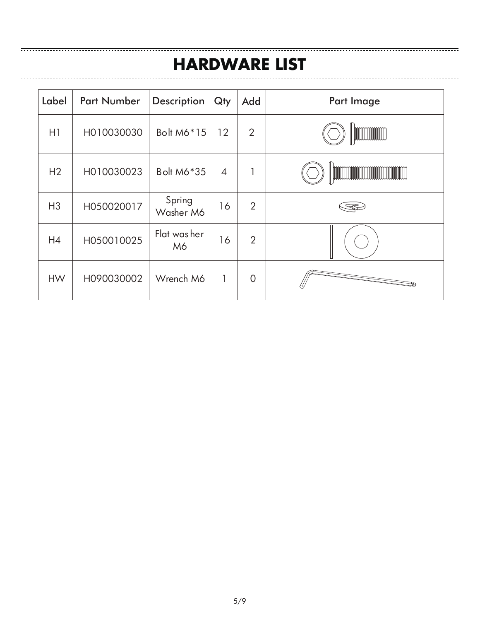#### **HARDWARE LIST**

| Label          | <b>Part Number</b> | <b>Description</b>  | Qty            | Add            | Part Image           |
|----------------|--------------------|---------------------|----------------|----------------|----------------------|
| H1             | H010030030         | Bolt M6*15          | 12             | $\overline{2}$ | <b>MANIFERRATION</b> |
| H <sub>2</sub> | H010030023         | <b>Bolt M6*35</b>   | $\overline{4}$ | 1              |                      |
| H <sub>3</sub> | H050020017         | Spring<br>Washer M6 | 16             | $\overline{2}$ |                      |
| H4             | H050010025         | Flat was her<br>M6  | 16             | $\overline{2}$ |                      |
| <b>HW</b>      | H090030002         | Wrench M6           | 1              | $\mathbf 0$    |                      |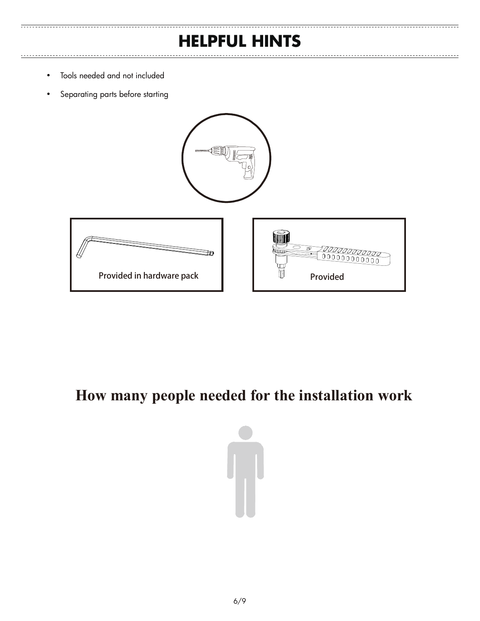### **HELPFUL HINTS**

- Tools needed and not included
- Separating parts before starting







### **How many people needed for the installation work**

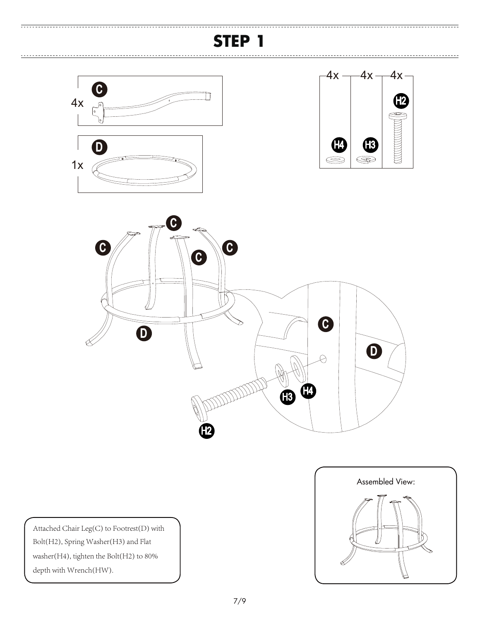## **STEP 1**



 $\frac{1}{2}$ 





Attached Chair Leg(C) to Footrest(D) with Bolt(H2), Spring Washer(H3) and Flat washer(H4), tighten the Bolt(H2) to 80% depth with Wrench(HW).

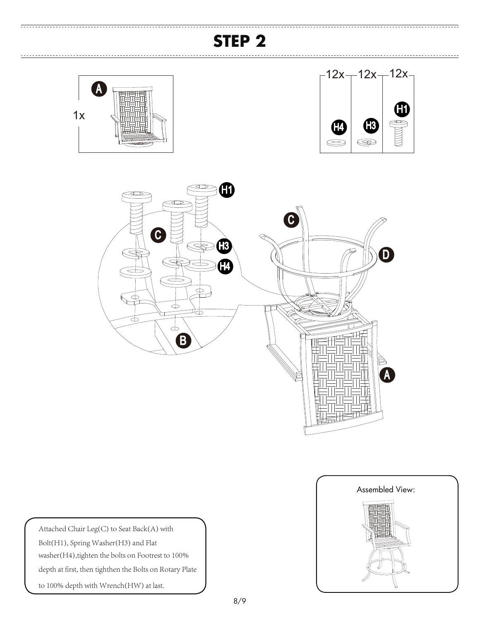# **STEP 2**







Attached Chair Leg(C) to Seat Back(A) with Bolt(H1), Spring Washer(H3) and Flat washer(H4),tighten the bolts on Footrest to 100% depth at first, then tighthen the Bolts on Rotary Plate to 100% depth with Wrench(HW) at last.